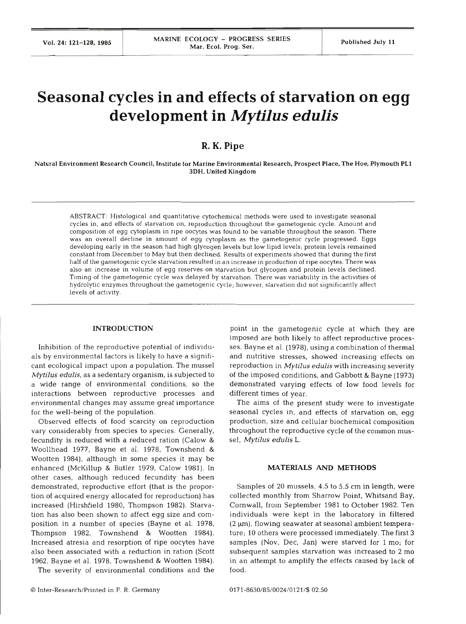# **Seasonal cycles in and effects of starvation on egg development in Mytilus edulis**

## **R. K. Pipe**

Natural Environment Research Council, Institute for Marine Environmental Research, Rospect Place, The Hoe, Plymouth **PL1**  3DH. United Kingdom

ABSTRACT: Histological and quantitative cytochemical methods were used to investigate seasonal cycles in, and effects of starvation on, reproduction throughout the gametogenic cycle. Amount and composition of egg cytoplasm in ripe oocytes was found to be variable throughout the season. There was an overall decline in amount of egg cytoplasm as the gametogenic cycle progressed. Eggs developing early in the season had high glycogen levels but low lipid levels; protein levels remained constant from December to May but then declined. Results of experiments showed that during the first half of the gametogenic cycle starvation resulted in an increase in production of ripe oocytes. There was also an increase in volume of egg reserves on starvation but glycogen and protein levels declined. Timing of the gametogenic cycle was delayed by starvation. There was variability in the activities of hydrolytic enzymes throughout the gametogenic cycle; however, starvation did not significantly affect levels of activity.

#### **INTRODUCTION**

Inhibition of the reproductive potential of individuals by environmental factors is likely to have a significant ecological impact upon a population. The mussel *Mytilus edulis,* as a sedentary organism, is subjected to a wide range of environmental conditions, so the interactions between reproductive processes and environmental changes may assume great importance for the well-being of the population.

Observed effects of food scarcity on reproduction vary considerably from species to species. Generally, fecundity is reduced with a reduced ration (Calow & Woollhead 1977, Bayne et al. 1978, Townshend & Wootten 1984), although in some species it may be enhanced (McKillup & Butler 1979, Calow 1981). In other cases, although reduced fecundity has been demonstrated, reproductive effort (that is the proportion of acquired energy allocated for reproduction) has increased (Hirshfield 1980, Thompson 1982). Starvation has also been shown to affect egg size and composition in a number of species (Bayne et al. 1978, Thompson 1982, Townshend & Wootten 1984). Increased atresia and resorption of ripe oocytes have also been associated with a reduction in ration (Scott 1962, Bayne et al. 1978, Townshend & Wootten 1984).

The severity of environmental conditions and the

point in the gametogenic cycle at which they are imposed are both likely to affect reproductive processes. Bayne et al. (1978), using a combination of thermal and nutritive stresses, showed increasing effects on reproduction in *Mytilus edulis* with increasing severity of the imposed conditions, and Gabbott & Bayne (1973) demonstrated varying effects of low food levels for different times of year.

The aims of the present study were to investigate seasonal cycles in, and effects of starvation on, egg production, size and cellular biochemical composition throughout the reproductive cycle of the common mussel, *Mytilus edulis* L.

#### **MATERIALS AND METHODS**

Samples of 20 mussels, 4.5 to 5.5 cm in length, were collected monthly from Sharrow Point, Whitsand Bay, Cornwall, from September 1981 to October 1982. Ten individuals were kept in the laboratory in filtered  $(2 \mu m)$ , flowing seawater at seasonal ambient temperature; 10 others were processed immediately. The first 3 samples (Nov, Dec, Jan) were starved for l mo; for subsequent samples starvation was increased to 2 mo in an attempt to amplify the effects caused by lack of food.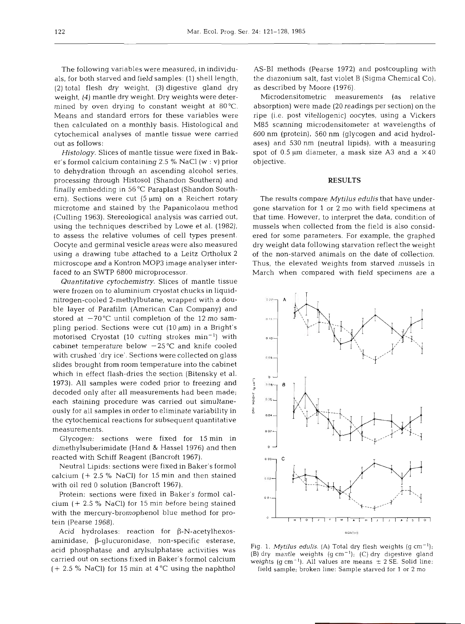The following variables were measured, in individuals, for both starved and field samples: (1) shell length, (2) total flesh dry weight, (3) digestive gland dry weight, **(4)** mantle dry weight. Dry weights were determined by oven drying to constant weight at 80°C. Means and standard errors for these variables were then calculated on a monthly basis. Histological and cytochemical analyses of mantle tissue were carried out as follows:

*Histology.* Slices of mantle tissue were fixed in Baker's formol calcium containing 2.5 % NaCl (W : v) prior to dehydration through an ascending alcohol series, processing through Histosol (Shandon Southern) and finally embedding in 56 "C Paraplast (Shandon Southern). Sections were cut  $(5 \mu m)$  on a Reichert rotary microtome and stained by the Papanicolaou method (Culling 1963). Stereological analysis was carried out, using the techniques described by Lowe et al. (1982), to assess the relative volumes of cell types present. Oocyte and germinal vesicle areas were also measured using a drawing tube attached to a Leitz Ortholux 2 microscope and a Kontron MOP3 image analyser interfaced to an SWTP 6800 microprocessor.

*Quantitative cytochemistry.* Slices of mantle tissue were frozen on to aluminium cryostat chucks in liquidnitrogen-cooled 2-methylbutane, wrapped with a double layer of Parafilm (American Can Company) and stored at  $-70^{\circ}$ C until completion of the 12 mo sampling period. Sections were cut  $(10 \mu m)$  in a Bright's motorised Cryostat (10 cutting strokes  $min^{-1}$ ) with cabinet temperature below  $-25^{\circ}$ C and knife cooled with crushed 'dry ice'. Sections were collected on glass slides brought from room temperature into the cabinet which in effect flash-dries the section (Bitensky et al. 1973). All samples were coded prior to freezing and  $\frac{1}{3}$ decoded only after all measurements had been made;<br>each staining procedure was carried out simultaneeach staining procedure was carried out simultaneously for all samples in order to eliminate variability in the cytochemical reactions for subsequent quantitative measurements.

Glycogen: sections were fixed for 15min in dimethylsuberimidate (Hand & Hassel 1976) and then reacted with Schiff Reagent (Bancroft 1967).

Neutral Lipids: sections were fixed in Baker's formol calcium (+ 2.5 % NaCI) for 15 min and then stained with oil red 0 solution (Bancroft 1967).

Protein: sections were fixed in Baker's formol calcium (+ 2.5 % NaC1) for 15 min before being stained with the mercury-bromophenol blue method for protein (Pearse 1968).

Acid hydrolases: reaction for  $\beta$ -N-acetylhexos $aminidase$ ,  $\beta$ -glucuronidase, non-specific esterase, acid phosphatase and arylsulphatase activities was carried out on sections fixed in Baker's formol calcium  $(+ 2.5 %$  NaCl) for 15 min at 4 °C using the naphthol AS-B1 methods (Pearse 1972) and postcoupling with the diazonium salt, fast violet B (Sigma Chemical CO), as described by Moore (1976).

Microdensitometric measurements (as relative absorption) were made (20 readings per section) on the ripe (i.e. post vitellogenic) oocytes, using a Vickers M85 scanning microdensitometer at wavelengths of 600 nm (protein), 560 nm (glycogen and acid hydrolases) and 530 nm (neutral lipids), with a measuring spot of 0.5  $\mu$ m diameter, a mask size A3 and a  $\times$ 40 objective.

### **RESULTS**

The results compare *Mytilus edulis* that have undergone starvation for 1 or **2** mo with field specimens at that time. However, to interpret the data, condition of mussels when collected from the field is also considered for some parameters. For example, the graphed dry weight data following starvation reflect the weight of the non-starved animals on the date of collection. Thus, the elevated weights from starved mussels in March when compared with field specimens are a



Fig. 1. *Mytilus edulis.* (A) Total dry flesh weights (g cm<sup>-1</sup>); (B) dry mantle weights  $(g \text{ cm}^{-1})$ ; (C) dry digestive gland weights (g cm<sup>-1</sup>). All values are means  $\pm$  2 SE. Solid line: field sample; broken line: Sample starved for 1 or **2** mo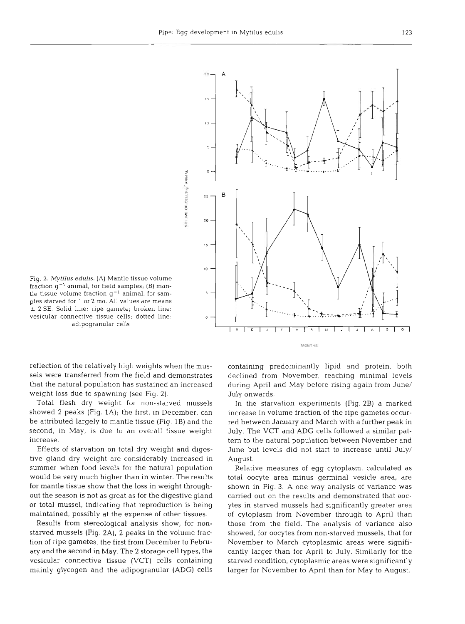

Fig. 2. **Mytilus edulis.** (A) Mantle tissue volume fraction  $g^{-1}$  animal, for field samples; (B) mantle tissue volume fraction  $g^{-1}$  animal, for samples starved for 1 or 2 mo. All values are means \_<sup>t</sup>2 SE. Solid line: ripe gamete; broken line: vesicular connective tissue cells; dotted line: adipogranular cells

reflection of the relatively high weights when the mussels were transferred from the field and demonstrates that the natural population has sustained an increased weight loss due to spawning (see Fig. 2).

Total flesh dry weight for non-starved mussels showed **2** peaks (Fig. 1A); the first, in December, can be attributed largely to mantle tissue (Fig. 1B) and the second, in May, is due to an overall tissue weight increase.

Effects of starvation on total dry weight and digestive gland dry weight are considerably increased in summer when food levels for the natural population would be very much higher than in winter. The results for mantle tissue show that the loss in weight throughout the season is not as great as for the digestive gland or total mussel, indicating that reproduction is being maintained, possibly at the expense of other tissues.

Results from stereological analysis show, for nonstarved mussels (Fig. 2A), 2 peaks in the volume fraction of ripe gametes, the first from December to February and the second in May. The 2 storage cell types, the vesicular connective tissue (VCT) cells containing mainly glycogen and the adipogranular (ADG) cells containing predominantly lipid and protein, both declined from November, reaching minimal levels during April and May before rising again from June/ July onwards.

In the starvation experiments (Fig. 2B) a marked increase in volume fraction of the ripe gametes occurred between January and March with a further peak in July. The VCT and ADG cells followed a similar pattern to the natural population between November and June but levels did not start to increase until July/ August.

Relative measures of egg cytoplasm, calculated as total oocyte area minus germinal vesicle area, are shown in Fig. 3. A one way analysis of variance was carried out on the results and demonstrated that oocytes in starved mussels had significantly greater area of cytoplasm from November through to April than those from the field. The analysis of variance also showed, for oocytes from non-starved mussels, that for November to March cytoplasmic areas were significantly larger than for April to July. Similarly for the starved condition, cytoplasmic areas were significantly larger for November to April than for May to August.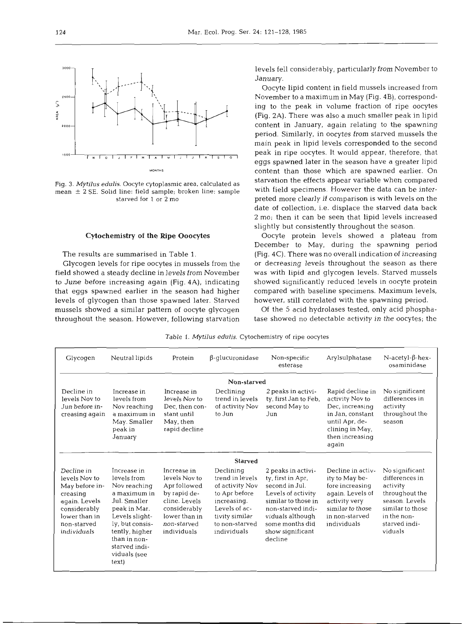

Fig. 3. *Mytilus edulis.* Oocyte cytoplasmic area, calculated as mean  $\pm$  2 SE. Solid line: field sample; broken line: sample starved for 1 or **2** mo

#### **Cytochemistry of the Ripe Ooocytes**

The results are summarised in Table **1.** 

Glycogen levels for ripe oocytes in mussels from the field showed a steady decline in levels from November to June before increasing again (Fig. **4A),** indicating that eggs spawned earlier in the season had higher levels of glycogen than those spawned later. Starved mussels showed a similar pattern of oocyte glycogen throughout the season. However, following starvation levels fell considerably, particularly from November to January.

Oocyte lipid content in field mussels increased from November to a maximum in May (Fig. **4B),** corresponding to the peak in volume fraction of ripe oocytes (Fig. **2A).** There was also a much smaller peak in lipid content in January, again relating to the spawning period. Similarly, in oocytes from starved mussels the main peak in lipid levels corresponded to the second **lulol~lrlul~lul~l~l~lslol** peak in ripe oocytes. It would appear, therefore, that eggs spawned later in the season have a greater lipid **MONTHS** content than those which are spawned earlier. On starvation the effects appear variable when compared with field specimens. However the data can be interpreted more clearly if comparison is with levels on the date of collection, i.e. displace the starved data back 2 mo; then it can be seen that lipid levels increased slightly but consistently throughout the season.

> Oocyte protein levels showed a plateau from December to May, during the spawning period (Fig. 4C). There was no overall indication of increasing or decreasing levels throughout the season as there was with lipid and glycogen levels. Starved mussels showed significantly reduced levels in oocyte protein compared with baseline specimens. Maximum levels, however, still correlated with the spawning period.

> Of the 5 acid hydrolases tested, only acid phosphatase showed no detectable activity in the oocytes; the

Table 1. *Mytilus edulis.* Cytochemistry of ripe oocytes

| Glycogen                                                                                                                                  | Neutral lipids                                                                                                                                                                                              | Protein                                                                                                                                      | $\beta$ -glucuronidase                                                                                                                              | Non-specific<br>esterase                                                                                                                                                                          | Arylsulphatase                                                                                                                                   | $N$ -acetyl- $\beta$ -hex-<br>osaminidase                                                                                                       |
|-------------------------------------------------------------------------------------------------------------------------------------------|-------------------------------------------------------------------------------------------------------------------------------------------------------------------------------------------------------------|----------------------------------------------------------------------------------------------------------------------------------------------|-----------------------------------------------------------------------------------------------------------------------------------------------------|---------------------------------------------------------------------------------------------------------------------------------------------------------------------------------------------------|--------------------------------------------------------------------------------------------------------------------------------------------------|-------------------------------------------------------------------------------------------------------------------------------------------------|
| Non-starved                                                                                                                               |                                                                                                                                                                                                             |                                                                                                                                              |                                                                                                                                                     |                                                                                                                                                                                                   |                                                                                                                                                  |                                                                                                                                                 |
| Decline in<br>levels Nov to<br>Jun before in-<br>creasing again                                                                           | Increase in<br>levels from<br>Nov reaching<br>a maximum in<br>May. Smaller<br>peak in<br>January                                                                                                            | Increase in<br>levels Nov to<br>Dec. then con-<br>stant until<br>May, then<br>rapid decline                                                  | Declining<br>trend in levels<br>of activity Nov<br>to Jun                                                                                           | 2 peaks in activi-<br>ty first Jan to Feb.<br>second May to<br>Jun                                                                                                                                | Rapid decline in<br>activity Nov to<br>Dec, increasing<br>in Jan. constant<br>until Apr, de-<br>clining in May,<br>then increasing<br>again      | No significant<br>differences in<br>activity<br>throughout the<br>season                                                                        |
| <b>Starved</b>                                                                                                                            |                                                                                                                                                                                                             |                                                                                                                                              |                                                                                                                                                     |                                                                                                                                                                                                   |                                                                                                                                                  |                                                                                                                                                 |
| Decline in<br>levels Nov to<br>May before in-<br>creasing<br>again. Levels<br>considerably<br>lower than in<br>non-starved<br>individuals | Increase in<br>levels from<br>Nov reaching<br>a maximum in<br>Jul. Smaller<br>peak in Mar.<br>Levels slight-<br>ly, but consis-<br>tently, higher<br>than in non-<br>starved indi-<br>viduals (see<br>text) | Increase in<br>levels Nov to<br>Apr followed<br>by rapid de-<br>cline. Levels<br>considerably<br>lower than in<br>non-starved<br>individuals | Declining<br>trend in levels<br>of activity Nov<br>to Apr before<br>increasing.<br>Levels of ac-<br>tivity similar<br>to non-starved<br>individuals | 2 peaks in activi-<br>ty, first in Apr,<br>second in Jul.<br>Levels of activity<br>similar to those in<br>non-starved indi-<br>viduals although<br>some months did<br>show significant<br>decline | Decline in activ-<br>ity to May be-<br>fore increasing<br>again. Levels of<br>activity very<br>similar to those<br>in non-starved<br>individuals | No significant<br>differences in<br>activity<br>throughout the<br>season. Levels<br>similar to those<br>in the non-<br>starved indi-<br>viduals |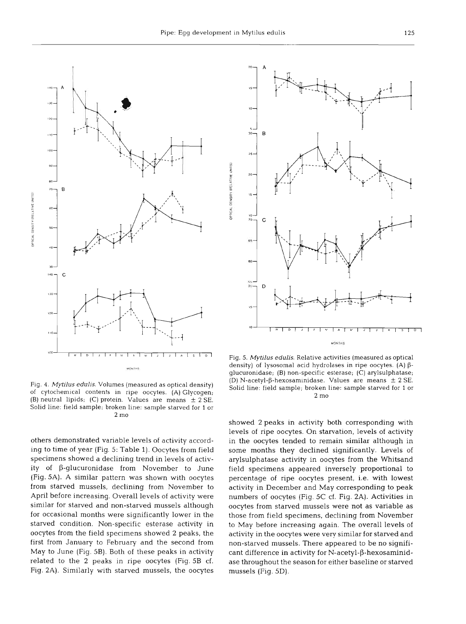

Fig. 4. *Mytilus edulis.* Volumes (measured as optical density) of cytochemlcal contents in ripe oocytes. (A) Glycogen; (B) neutral lipids; (C) protein. Values are means  $\pm$  2 SE. Solid line: field sample; broken line: sample starved for 1 or 2 mo

others demonstrated variable levels of activity according to time of year (Fig. 5: Table 1). Oocytes from field specimens showed a declining trend in levels of activity of  $\beta$ -glucuronidase from November to June (Fig. 5A). A similar pattern was shown with oocytes from starved mussels, declining from November to April before increasing. Overall levels of activity were similar for starved and non-starved mussels although for occasional months were significantly lower in the starved condition. Non-specific esterase activity in oocytes from the field specimens showed 2 peaks, the first from January to February and the second from May to June (Fig. 5B). Both of these peaks in activity related to the 2 peaks in ripe oocytes (Fig. 5B cf. Fig. **2A).** Similarly with starved mussels, the oocytes



Fig. 5. *Mytilus edulis.* Relative activities (measured as optical density) of lysosomal acid hydrolases in ripe oocytes. (A)  $\beta$ glucuronidase; (B) non-specific esterase; (C) arylsulphatase; (D) N-acetyl- $\beta$ -hexosaminidase. Values are means  $\pm$  2 SE. Solid line: field sample; broken line: sample starved for 1 or 2 mo

showed 2 peaks in activity both corresponding with levels of ripe oocytes. On starvation, levels of activity in the oocytes tended to remain similar although in some months they declined significantly. Levels of arylsulphatase activity in oocytes from the Whitsand field specimens appeared inversely proportional to percentage of ripe oocytes present, i.e. with lowest activity in December and May corresponding to peak numbers of oocytes (Fig. 5C cf. Fig. 2A). Activities in oocytes from starved mussels were not as variable as those from field specimens, declining from November to May before increasing again. The overall levels of activity in the oocytes were very similar for starved and non-starved mussels. There appeared to be no significant difference in activity for  $N$ -acetyl- $\beta$ -hexosaminidase throughout the season for either baseline or starved mussels (Fig. 5D).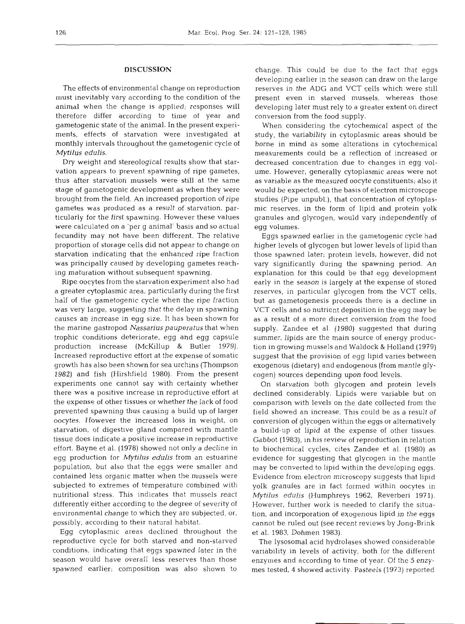## **DISCUSSION**

The effects of environmental change on reproduction must inevitably vary according to the condition of the animal when the change is applied; responses will therefore differ according to time of year and gametogenic state of the animal. In the present experiments, effects of starvation were investigated at monthly intervals throughout the gametogenic cycle of *Mytilus edulis.* 

Dry weight and stereological results show that starvation appears to prevent spawning of ripe gametes, thus after starvation mussels were still at the same stage of gametogenic development as when they were brought from the field. An increased proportion of ripe gametes was produced as a result of starvation, particularly for the first spawning. However these values were calculated on a 'per g animal' basis and so actual fecundity may not have been different. The relative proportion of storage cells did not appear to change on starvation indicating that the enhanced ripe fraction was principally caused by developing gametes reaching maturation without subsequent spawning.

Ripe oocytes from the starvation experiment also had a greater cytoplasmic area, particularly during the first half of the gametogenic cycle when the ripe fraction was very large, suggesting that the delay in spawning causes an increase in egg size. It has been shown for the marine gastropod *Nassarius pauperatus* that when trophic conditions deteriorate, egg and egg capsule production increase (McKillup & Butler 1979). Increased reproductive effort at the expense of somatic growth has also been shown for sea urchins (Thompson 1982) and fish (Hirshfield 1980). From the present experiments one cannot say with certainty whether there was a positive increase in reproductive effort at the expense of other tissues or whether the lack of food prevented spawning thus causing a build up of larger oocytes. However the increased loss in weight, on starvation, of digestive gland compared with mantle tissue does indicate a positive increase in reproductive effort. Bayne et al. (1978) showed not only a decline in egg production for *Mytilus edulis* from an estuarine population, but also that the eggs were smaller and contained less organic matter when the mussels were subjected to extremes of temperature combined with nutritional stress. This indicates that mussels react differently either according to the degree of severity of environmental change to which they are subjected, or, possibly, according to their natural habitat.

Egg cytoplasmic areas declined throughout the reproductive cycle for both starved and non-starved conditions, indicating that eggs spawned later in the season would have overall less reserves than those spawned earlier; composition was also shown to

change. This could be due to the fact that eggs developing earlier in the season can draw on the large reserves in the ADG and VCT cells which were still present even in starved mussels, whereas those developing later must rely to a greater extent on direct conversion from the food supply.

When considering the cytochemical aspect of the study, the variability in cytoplasmic areas should be borne in mind as some alterations in cytochemical measurements could be a reflection of increased or decreased concentration due to changes in egg volume. However, generally cytoplasmic areas were not as variable as the measured oocyte constituents; also it would be expected, on the basis of electron microscope studies (Pipe unpubl.), that concentration of cytoplasmic reserves, in the form of lipid and protein yolk granules and glycogen, would vary independently of egg volumes.

Eggs spawned earlier in the gametogenic cycle had higher levels of glycogen but lower levels of lipid than those spawned later; protein levels, however, did not vary significantly during the spawning period. An explanation for this could be that egg development early in the season is largely at the expense of stored reserves, in particular glycogen from the VCT cells, but as gametogenesis proceeds there is a decline in VCT cells and so nutrient deposition in the egg may be as a result of a more direct conversion from the food supply. Zandee et al. (1980) suggested that during summer, lipids are the main source of energy production in growing mussels and Waldock & Holland (1979) suggest that the provision of egg lipid varies between exogenous (dietary) and endogenous (from mantle glycogen) sources depending upon food levels.

On starvation both glycogen and protein levels declined considerably. Lipids were variable but on comparison with levels on the date collected from the field showed an increase. This could be as a result of conversion of glycogen within the eggs or alternatively a build-up of lipid at the expense of other tissues. Gabbot (1983), in his review of reproduction in relation to biochemical cycles, cites Zandee et al. (1980) as evidence for suggesting that glycogen in the mantle may be converted to lipid within the developing eggs. Evidence from electron microscopy suggests that lipid yolk granules are in fact formed within oocytes in *Mytilus edulis* (Humphreys 1962, Reverberi 1971). However, further work is needed to clarify the situation, and incorporation of exogenous lipid in the eggs cannot be ruled out (see recent reviews by Jong-Brink et al. 1983, Dohmen 1983).

The lysosomal acid hydrolases showed considerable variability in levels of activity, both for the different enzymes and according to time of year. Of the 5 enzymes tested, 4 showed activity. Pasteels (1973) reported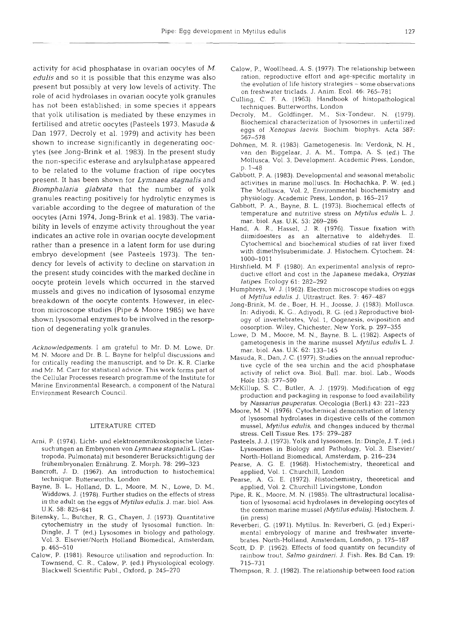activity for acid phosphatase in ovarian oocytes of  $M$ . **edulis** and so it is possible that this enzyme was also present but possibly at very low levels of activity. The role of acid hydrolases in ovarian oocyte yolk granules has not been established; in some species it appears that yolk utilisation is mediated by these enzymes in fertilised and atretic oocytes (Pasteels 1973, Masuda & Dan 1977, Decroly et al. 1979) and activity has been shown to increase significantly in degenerating oocytes (see Jong-Brink et al. 1983). In the present study the non-specific esterase and arylsulphatase appeared to be related to the volume fraction of ripe oocytes present. It has been shown for Lymnaea *stagnalis* and *Biomphalaria glabrata* that the number of yolk granules reacting positively for hydrolytic enzymes is variable according to the degree of maturation of the oocytes (Arni 1974, Jong-Brink et al. 1983). The variability in levels of enzyme activity throughout the year indicates an active role in ovarian oocyte development rather than a presence in a latent form for use during embryo development (see Pasteels 1973). The tendency for levels of activity to decline on starvation in the present study coincides with the marked decline in oocyte protein levels which occurred in the starved mussels and gives no indication of lysosomal enzyme breakdown of the oocyte contents. However, in electron microscope studies (Pipe & Moore 1985) we have shown lysosomal enzymes to be involved in the resorption of degenerating yolk granules.

*Acknowledgements.* l am grateful to Mr. D. M. Lowe, Dr. M. N. Moore and Dr. B. L. Bayne for helpful discussions and for critically reading the manuscript, and to Dr. K. R. Clarke and Mr. M. Carr for statistical advice. This work forms part of the Cellular Processes research programme of the Institute for Marine Environmental Research, a component of the Natural Environment Research Council.

#### LITERATURE CITED

- Arni, P. (1974). Licht- und elektronenmikroskopische Untersuchungen an Embryonen von *Lymnaea stagnalis* L. (Gastropoda, Pulmonata) mit besonderer Beriicksichtigung der fruhernbryonalen Ernahrung. Z. Morph. 78: 299-323
- Bancroft, J. D. (1967). An introduction to histochemical technique. Butterworths, London
- Bayne. B. L., Holland, D. L.. Moore, M. N., Lowe, D. M,, Widdows, J. (1978). Further studies on the effects of stress in the adult on the eggs of **Mytilus** *edulis.* J. mar. biol. Ass. U.K.  $58: 825 - 841$
- Bitensky, L., Butcher, R. G., Chayen, J. (1973). Quantitative cytochemistry in the study of lysosomal function. In: Dingle, J. T (ed.) Lysosomes in biology and pathology, Vol. 3. Elsevier/North Holland Biomedical, Amsterdam, p. 465-510
- Calow, P. (1981). Resource utilisation and reproduction. In: Townsend, C. R., Calow, P. (ed.) Physiological ecology. Blackwell Scientific Publ., Oxford, p. 245-270
- Calow, P,, Woollhead, A. S. (1977). The relationship between ration, reproductive effort and age-specific mortality in the evolution of life history strategies - some observations on freshwater triclads. J. Anim. Ecol. 46: 765-781
- Culling, C. F. A. (1963). Handbook of histopathological techniques. Butterworths. London
- Decroly, M., Goldfinger, M., Six-Tondeur, N. (1979). Biochemical characterization of lysosomes in unfertilized eggs of *.Yenopus laevis.* Biochim. biophys. Acta 587: 567-578
- Dohmen, M. R. (1983). Gametogenesis. In: Verdonk, N. H., van den Biggelaar, J. A. M,, Tompa, A. S. (ed.) The Mollusca. Vol. 3, Development. Academic Press, London, p. 1–48
- Gabbott, P. A. (1983). Developmental and seasonal metabolic activities in marine molluscs. In: Hochachka, P. W. (ed.) The Mollusca, Vol. 2, Environmental biochemistry and physiology. Academic Press, London, p. 165-217
- Gabbott, P. A., Bayne, B. L. (1973). Biochemical effects of temperature and nutritive stress on *Mytilus edulis* L. *J.*  mar. biol. Ass. U.K. 53: 269–28
- Hand, A. R., Hassel, J. R. (1976). Tissue fixation with diimidoesters as an alternative to aldehydes. 11. Cytochemical and biochemical studies of rat liver fixed with dimethylsuberimidate. J. Histochem. Cytochem. 24: 1000-101 1
- Hirshfield, M. F. (1980). An experimental analysis of reproductive effort and cost in the Japanese medaka, *Oryzias latipes.* Ecology 61: 282-292
- Humphreys, W. J. (1962). Electron microscope studies on eggs of Mytilus edulis. J. Ultrastruct. Res. 7: 467-487
- Jong-Brink, M. de., Boer, H. H., Joosse, J. (1983). Mollusca. In: Adiyodi, K. G., Adiyodi. R. G. (ed.) Reproductive biology of invertebrates, Vol. 1, Oogenesis, oviposition and oosorption. Wiley, Chichester, New York, p. 297-355
- Lowe, D. M., Moore, M. N., Bayne, B. L. (1982). Aspects of gametogenesis in the marine mussel *Mytilus edulis* L. *J.*  mar. biol. Ass. U.K. 62: 133-145
- Masuda, R., Dan. J. C. (1977). Studies on the annual reproductive cycle of the sea urchin and the acid phosphatase activity of relict ova. Biol. Bull. mar. biol. Lab.. Woods Hole 153: 577-59
- McKillup, S. C., Butler, A. J. (1979). Modification of egg production and packaging in response to food availability by *Nassarius pauperatus.* Oecologia (Berl.) 43: 221-223
- Moore, M. N. (1976). Cytochemical demonstration of latency of lysosomal hydrolases in digestive cells of the common mussel. *Mytilus edulis,* and changes induced by thermal stress. Cell Tissue Res. 175: 279-287
- Pasteels, J. J. (1973). Yolk and lysosomes. In: Dingle, J. T. (ed.) Lysosomes in Biology and Pathology, Vol. 3. Elsevier/ North-Holland Biomedical, Amsterdam, p. 216-234
- Pearse, A. G. E. (1968). Histochemistry, theoretical and applied, Vol. 1. Churchill, London
- Pearse, A. G. E. (1972). Histochemistry, theoretical and applied, Vol. 2. Churchill Livingstone, London
- Pipe. R. K., Moore, M. N. (1985). The ultrastructural localisation of lysosomal acid hydrolases in developing oocytes of the common marine mussel *(Mytilus edulis).* Histochem. *J.*  (in press)
- Reverberi, G. (1971). Mytilus. In: Reverberi, G. (ed.) Experimental enlbryology of marine and freshwater invertebrates. North-Holland, Amsterdam, London, p. 175-187
- Scott, D. P. (1962). Effects of food quantity on fecundity of rainbow trout, *Salmo gairdneri.* J. Fish. Res. Bd Can. 19: 715-731
- Thompson, R. J. (1982). The relationship between food ration